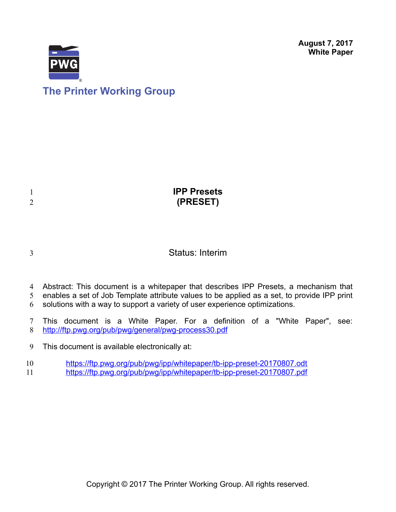**August 7, 2017 White Paper**



# **The Printer Working Group**

|                | <b>IPP Presets</b> |
|----------------|--------------------|
| $\overline{2}$ | (PRESET)           |
|                |                    |

3

### Status: Interim

- Abstract: This document is a whitepaper that describes IPP Presets, a mechanism that 4
- enables a set of Job Template attribute values to be applied as a set, to provide IPP print 5
- solutions with a way to support a variety of user experience optimizations. 6
- This document is a White Paper. For a definition of a "White Paper", see: <http://ftp.pwg.org/pub/pwg/general/pwg-process30.pdf> 7 8
- This document is available electronically at: 9
- <https://ftp.pwg.org/pub/pwg/ipp/whitepaper/tb-ipp-preset-20170807.odt> 10
- <https://ftp.pwg.org/pub/pwg/ipp/whitepaper/tb-ipp-preset-20170807.pdf> 11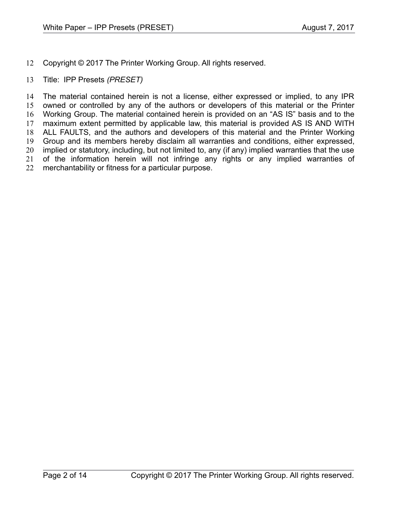- Copyright © 2017 The Printer Working Group. All rights reserved. 12
- Title: IPP Presets *(PRESET)* 13

The material contained herein is not a license, either expressed or implied, to any IPR owned or controlled by any of the authors or developers of this material or the Printer Working Group. The material contained herein is provided on an "AS IS" basis and to the maximum extent permitted by applicable law, this material is provided AS IS AND WITH ALL FAULTS, and the authors and developers of this material and the Printer Working Group and its members hereby disclaim all warranties and conditions, either expressed, implied or statutory, including, but not limited to, any (if any) implied warranties that the use of the information herein will not infringe any rights or any implied warranties of merchantability or fitness for a particular purpose. 14 15 16 17 18 19 20 21 22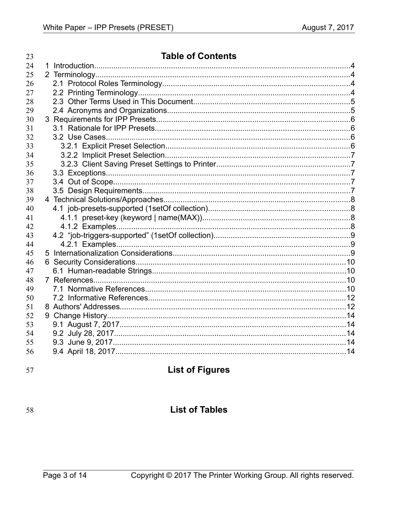| 23 | <b>Table of Contents</b> |  |
|----|--------------------------|--|
| 24 |                          |  |
| 25 |                          |  |
| 26 |                          |  |
| 27 |                          |  |
| 28 |                          |  |
| 29 |                          |  |
| 30 |                          |  |
| 31 |                          |  |
| 32 |                          |  |
| 33 |                          |  |
| 34 |                          |  |
| 35 |                          |  |
| 36 |                          |  |
| 37 |                          |  |
| 38 |                          |  |
| 39 |                          |  |
| 40 |                          |  |
| 41 |                          |  |
| 42 |                          |  |
| 43 |                          |  |
| 44 |                          |  |
| 45 |                          |  |
| 46 |                          |  |
| 47 |                          |  |
| 48 |                          |  |
| 49 |                          |  |
| 50 |                          |  |
| 51 |                          |  |
| 52 |                          |  |
| 53 |                          |  |
| 54 |                          |  |
| 55 |                          |  |
| 56 |                          |  |
|    |                          |  |

57

## **List of Figures**

58

### **List of Tables**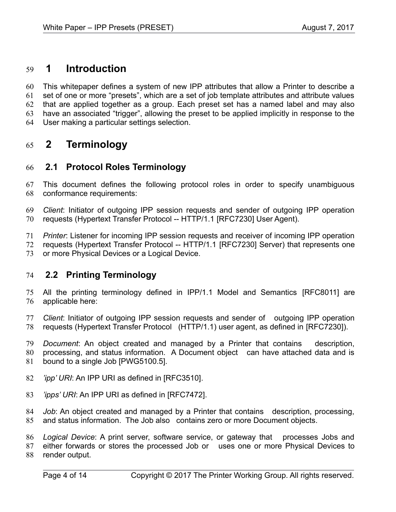#### **1 Introduction** 59

This whitepaper defines a system of new IPP attributes that allow a Printer to describe a set of one or more "presets", which are a set of job template attributes and attribute values that are applied together as a group. Each preset set has a named label and may also have an associated "trigger", allowing the preset to be applied implicitly in response to the User making a particular settings selection. 60 61 62 63 64

#### **2 Terminology** 65

#### **2.1 Protocol Roles Terminology** 66

This document defines the following protocol roles in order to specify unambiguous conformance requirements: 67 68

*Client*: Initiator of outgoing IPP session requests and sender of outgoing IPP operation requests (Hypertext Transfer Protocol -- HTTP/1.1 [\[RFC7230\]](#page-10-0) User Agent). 69 70

*Printer*: Listener for incoming IPP session requests and receiver of incoming IPP operation requests (Hypertext Transfer Protocol -- HTTP/1.1 [\[RFC7230\]](#page-10-0) Server) that represents one or more Physical Devices or a Logical Device. 71 72 73

#### **2.2 Printing Terminology** 74

All the printing terminology defined in IPP/1.1 Model and Semantics [\[RFC8011\]](#page-10-3) are applicable here: 75 76

*Client*: Initiator of outgoing IPP session requests and sender of outgoing IPP operation requests (Hypertext Transfer Protocol (HTTP/1.1) user agent, as defined in [\[RFC7230\]\)](#page-10-0). 77 78

*Document*: An object created and managed by a Printer that contains description, processing, and status information. A Document object can have attached data and is bound to a single Job [PWG5100.5]. 79 80 81

- *'ipp' URI*: An IPP URI as defined in [\[RFC3510\].](#page-10-2) 82
- *'ipps' URI*: An IPP URI as defined in [\[RFC7472\].](#page-10-1) 83
- *Job*: An object created and managed by a Printer that contains description, processing, and status information. The Job also contains zero or more Document objects. 84 85

Logical Device: A print server, software service, or gateway that processes Jobs and 86

either forwards or stores the processed Job or uses one or more Physical Devices to 87

render output. 88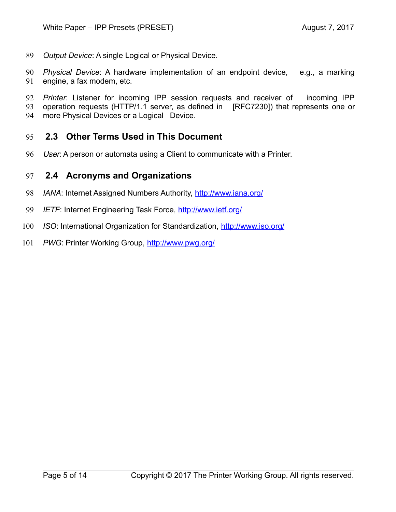*Output Device*: A single Logical or Physical Device. 89

*Physical Device*: A hardware implementation of an endpoint device, e.g., a marking engine, a fax modem, etc. 90 91

*Printer*: Listener for incoming IPP session requests and receiver of incoming IPP operation requests (HTTP/1.1 server, as defined in [\[RFC7230\]\)](#page-10-0) that represents one or more Physical Devices or a Logical Device. 92 93 94

#### **2.3 Other Terms Used in This Document** 95

User: A person or automata using a Client to communicate with a Printer. 96

#### **2.4 Acronyms and Organizations** 97

- *IANA*: Internet Assigned Numbers Authority,<http://www.iana.org/> 98
- *IETF*: Internet Engineering Task Force,<http://www.ietf.org/> 99
- *ISO*: International Organization for Standardization,<http://www.iso.org/> 100
- PWG: Printer Working Group,<http://www.pwg.org/> 101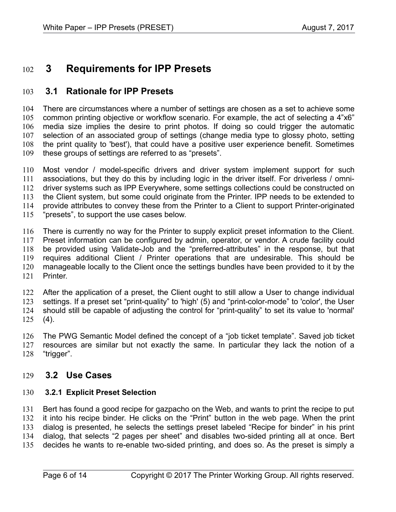#### **3 Requirements for IPP Presets** 102

#### **3.1 Rationale for IPP Presets** 103

There are circumstances where a number of settings are chosen as a set to achieve some common printing objective or workflow scenario. For example, the act of selecting a 4"x6" media size implies the desire to print photos. If doing so could trigger the automatic selection of an associated group of settings (change media type to glossy photo, setting the print quality to 'best'), that could have a positive user experience benefit. Sometimes these groups of settings are referred to as "presets". 104 105 106 107 108 109

Most vendor / model-specific drivers and driver system implement support for such associations, but they do this by including logic in the driver itself. For driverless / omnidriver systems such as IPP Everywhere, some settings collections could be constructed on the Client system, but some could originate from the Printer. IPP needs to be extended to provide attributes to convey these from the Printer to a Client to support Printer-originated "presets", to support the use cases below. 110 111 112 113 114 115

There is currently no way for the Printer to supply explicit preset information to the Client. Preset information can be configured by admin, operator, or vendor. A crude facility could be provided using Validate-Job and the "preferred-attributes" in the response, but that requires additional Client / Printer operations that are undesirable. This should be manageable locally to the Client once the settings bundles have been provided to it by the Printer. 116 117 118 119 120 121

After the application of a preset, the Client ought to still allow a User to change individual settings. If a preset set "print-quality" to 'high' (5) and "print-color-mode" to 'color', the User should still be capable of adjusting the control for "print-quality" to set its value to 'normal'  $(4).$ 122 123 124 125

The PWG Semantic Model defined the concept of a "job ticket template". Saved job ticket resources are similar but not exactly the same. In particular they lack the notion of a "trigger". 126 127 128

#### **3.2 Use Cases** 129

#### **3.2.1 Explicit Preset Selection** 130

Bert has found a good recipe for gazpacho on the Web, and wants to print the recipe to put it into his recipe binder. He clicks on the "Print" button in the web page. When the print dialog is presented, he selects the settings preset labeled "Recipe for binder" in his print dialog, that selects "2 pages per sheet" and disables two-sided printing all at once. Bert decides he wants to re-enable two-sided printing, and does so. As the preset is simply a 131 132 133 134 135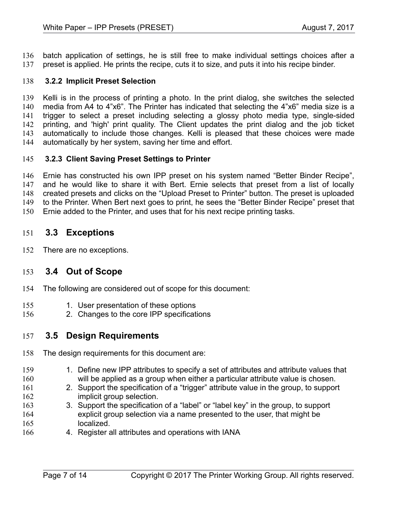batch application of settings, he is still free to make individual settings choices after a preset is applied. He prints the recipe, cuts it to size, and puts it into his recipe binder. 136 137

#### **3.2.2 Implicit Preset Selection** 138

Kelli is in the process of printing a photo. In the print dialog, she switches the selected media from A4 to 4"x6". The Printer has indicated that selecting the 4"x6" media size is a trigger to select a preset including selecting a glossy photo media type, single-sided printing, and 'high' print quality. The Client updates the print dialog and the job ticket automatically to include those changes. Kelli is pleased that these choices were made automatically by her system, saving her time and effort. 139 140 141 142 143 144

#### **3.2.3 Client Saving Preset Settings to Printer** 145

Ernie has constructed his own IPP preset on his system named "Better Binder Recipe", and he would like to share it with Bert. Ernie selects that preset from a list of locally created presets and clicks on the "Upload Preset to Printer" button. The preset is uploaded to the Printer. When Bert next goes to print, he sees the "Better Binder Recipe" preset that Ernie added to the Printer, and uses that for his next recipe printing tasks. 146 147 148 149 150

#### **3.3 Exceptions** 151

There are no exceptions. 152

#### **3.4 Out of Scope** 153

- The following are considered out of scope for this document: 154
- 1. User presentation of these options 155
- 2. Changes to the core IPP specifications 156

#### **3.5 Design Requirements** 157

- The design requirements for this document are: 158
- 1. Define new IPP attributes to specify a set of attributes and attribute values that will be applied as a group when either a particular attribute value is chosen. 159 160
- 2. Support the specification of a "trigger" attribute value in the group, to support implicit group selection. 161 162
- 3. Support the specification of a "label" or "label key" in the group, to support explicit group selection via a name presented to the user, that might be localized. 163 164 165
- 4. Register all attributes and operations with IANA 166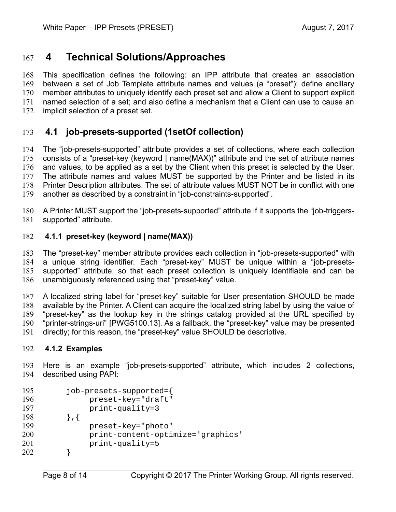#### **4 Technical Solutions/Approaches** 167

This specification defines the following: an IPP attribute that creates an association between a set of Job Template attribute names and values (a "preset"); define ancillary member attributes to uniquely identify each preset set and allow a Client to support explicit named selection of a set; and also define a mechanism that a Client can use to cause an implicit selection of a preset set. 168 169 170 171 172

#### **4.1 job-presets-supported (1setOf collection)** 173

The "job-presets-supported" attribute provides a set of collections, where each collection consists of a "preset-key (keyword | name(MAX))" attribute and the set of attribute names and values, to be applied as a set by the Client when this preset is selected by the User. The attribute names and values MUST be supported by the Printer and be listed in its Printer Description attributes. The set of attribute values MUST NOT be in conflict with one another as described by a constraint in "job-constraints-supported". 174 175 176 177 178 179

A Printer MUST support the "job-presets-supported" attribute if it supports the "job-triggerssupported" attribute. 180 181

#### <span id="page-7-0"></span> **4.1.1 preset-key (keyword | name(MAX))** 182

The "preset-key" member attribute provides each collection in "job-presets-supported" with a unique string identifier. Each "preset-key" MUST be unique within a "job-presetssupported" attribute, so that each preset collection is uniquely identifiable and can be unambiguously referenced using that "preset-key" value. 183 184 185 186

A localized string label for "preset-key" suitable for User presentation SHOULD be made available by the Printer. A Client can acquire the localized string label by using the value of "preset-key" as the lookup key in the strings catalog provided at the URL specified by "printer-strings-uri" [\[PWG5100.13\].](#page-10-4) As a fallback, the "preset-key" value may be presented directly; for this reason, the "preset-key" value SHOULD be descriptive. 187 188 189 190 191

#### **4.1.2 Examples** 192

Here is an example "job-presets-supported" attribute, which includes 2 collections, described using PAPI: 193 194

| 195 | job-presets-supported={           |
|-----|-----------------------------------|
| 196 | preset-key="draft"                |
| 197 | $print-quality=3$                 |
| 198 |                                   |
| 199 | preset-key="photo"                |
| 200 | print-content-optimize='graphics' |
| 201 | $print-quality=5$                 |
| 202 |                                   |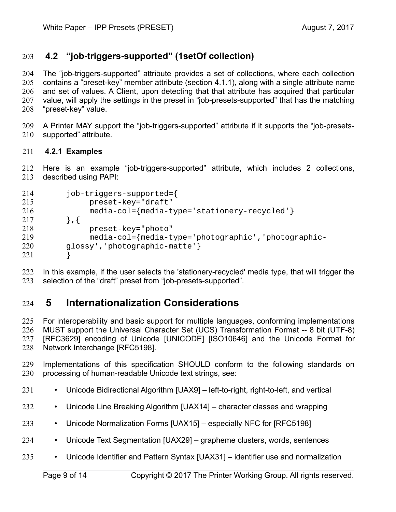#### **4.2 "job-triggers-supported" (1setOf collection)** 203

The "job-triggers-supported" attribute provides a set of collections, where each collection contains a "preset-key" member attribute (section [4.1.1\)](#page-7-0), along with a single attribute name and set of values. A Client, upon detecting that that attribute has acquired that particular value, will apply the settings in the preset in "job-presets-supported" that has the matching "preset-key" value. 204 205 206 207 208

A Printer MAY support the "job-triggers-supported" attribute if it supports the "job-presetssupported" attribute. 209 210

#### **4.2.1 Examples** 211

Here is an example "job-triggers-supported" attribute, which includes 2 collections, described using PAPI: 212 213

| 214 | job-triggers-supported={                            |
|-----|-----------------------------------------------------|
| 215 | preset-key="draft"                                  |
| 216 | media-col={media-type='stationery-recycled'}        |
| 217 | $\}$ , {                                            |
| 218 | preset-key="photo"                                  |
| 219 | media-col={media-type='photographic','photographic- |
| 220 | glossy', 'photographic-matte'}                      |
| 221 |                                                     |

In this example, if the user selects the 'stationery-recycled' media type, that will trigger the selection of the "draft" preset from "job-presets-supported". 222 223

#### **5 Internationalization Considerations** 224

For interoperability and basic support for multiple languages, conforming implementations MUST support the Universal Character Set (UCS) Transformation Format -- 8 bit (UTF-8) [RFC3629] encoding of Unicode [\[UNICODE\]](#page-11-3) [\[ISO10646\]](#page-9-0) and the Unicode Format for Network Interchange [\[RFC5198\].](#page-10-5) 225 226 227 228

Implementations of this specification SHOULD conform to the following standards on processing of human-readable Unicode text strings, see: 229 230

- Unicode Bidirectional Algorithm [\[UAX9\]](#page-10-7)  left-to-right, right-to-left, and vertical 231
- Unicode Line Breaking Algorithm [\[UAX14\]](#page-10-6)  character classes and wrapping 232
- Unicode Normalization Forms [\[UAX15\]](#page-11-2)  especially NFC for [\[RFC5198\]](#page-10-5) 233
- Unicode Text Segmentation [\[UAX29\]](#page-11-1)  grapheme clusters, words, sentences 234
- Unicode Identifier and Pattern Syntax [\[UAX31\]](#page-11-0)  identifier use and normalization 235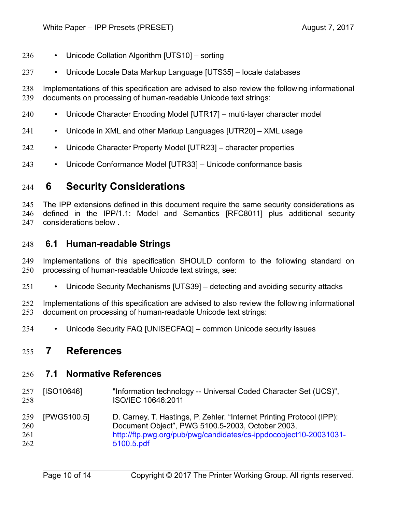- Unicode Collation Algorithm [\[UTS10\]](#page-11-11)  sorting 236
- Unicode Locale Data Markup Language [\[UTS35\]](#page-11-10)  locale databases 237

Implementations of this specification are advised to also review the following informational documents on processing of human-readable Unicode text strings: 238 239

- Unicode Character Encoding Model [\[UTR17\]](#page-11-9)  multi-layer character model 240
- Unicode in XML and other Markup Languages [\[UTR20\]](#page-11-8)  XML usage 241
- Unicode Character Property Model [\[UTR23\]](#page-11-7)  character properties 242
- Unicode Conformance Model [\[UTR33\]](#page-11-6)  Unicode conformance basis 243

#### **6 Security Considerations** 244

The IPP extensions defined in this document require the same security considerations as defined in the IPP/1.1: Model and Semantics [\[RFC8011\]](#page-10-3) plus additional security considerations below . 245 246 247

#### **6.1 Human-readable Strings**  248

Implementations of this specification SHOULD conform to the following standard on processing of human-readable Unicode text strings, see: 249 250

• Unicode Security Mechanisms [\[UTS39\]](#page-11-5) – detecting and avoiding security attacks 251

Implementations of this specification are advised to also review the following informational document on processing of human-readable Unicode text strings: 252 253

• Unicode Security FAQ [\[UNISECFAQ\]](#page-11-4) – common Unicode security issues 254

#### **7 References** 255

#### **7.1 Normative References** 256

<span id="page-9-0"></span>[ISO10646] "Information technology -- Universal Coded Character Set (UCS)", ISO/IEC 10646:2011 257 258

[PWG5100.5] D. Carney, T. Hastings, P. Zehler. "Internet Printing Protocol (IPP): Document Object", PWG 5100.5-2003, October 2003, [http://ftp.pwg.org/pub/pwg/candidates/cs-ippdocobject10-20031031-](http://ftp.pwg.org/pub/pwg/candidates/cs-ippdocobject10-20031031-5100.5.pdf) [5100.5.pdf](http://ftp.pwg.org/pub/pwg/candidates/cs-ippdocobject10-20031031-5100.5.pdf) 259 260 261 262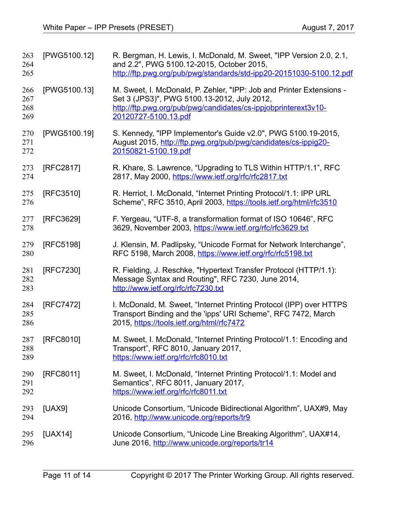<span id="page-10-7"></span><span id="page-10-6"></span><span id="page-10-5"></span><span id="page-10-4"></span><span id="page-10-3"></span><span id="page-10-2"></span><span id="page-10-1"></span><span id="page-10-0"></span>

| 263<br>264<br>265        | [PWG5100.12] | R. Bergman, H. Lewis, I. McDonald, M. Sweet, "IPP Version 2.0, 2.1,<br>and 2.2", PWG 5100.12-2015, October 2015,<br>http://ftp.pwg.org/pub/pwg/standards/std-ipp20-20151030-5100.12.pdf                       |
|--------------------------|--------------|---------------------------------------------------------------------------------------------------------------------------------------------------------------------------------------------------------------|
| 266<br>267<br>268<br>269 | [PWG5100.13] | M. Sweet, I. McDonald, P. Zehler, "IPP: Job and Printer Extensions -<br>Set 3 (JPS3)", PWG 5100.13-2012, July 2012,<br>http://ftp.pwg.org/pub/pwg/candidates/cs-ippjobprinterext3v10-<br>20120727-5100.13.pdf |
| 270<br>271<br>272        | [PWG5100.19] | S. Kennedy, "IPP Implementor's Guide v2.0", PWG 5100.19-2015,<br>August 2015, http://ftp.pwg.org/pub/pwg/candidates/cs-ippig20-<br>20150821-5100.19.pdf                                                       |
| 273<br>274               | [RFC2817]    | R. Khare, S. Lawrence, "Upgrading to TLS Within HTTP/1.1", RFC<br>2817, May 2000, https://www.ietf.org/rfc/rfc2817.txt                                                                                        |
| 275<br>276               | [RFC3510]    | R. Herriot, I. McDonald, "Internet Printing Protocol/1.1: IPP URL<br>Scheme", RFC 3510, April 2003, https://tools.ietf.org/html/rfc3510                                                                       |
| 277<br>278               | [RFC3629]    | F. Yergeau, "UTF-8, a transformation format of ISO 10646", RFC<br>3629, November 2003, https://www.ietf.org/rfc/rfc3629.txt                                                                                   |
| 279<br>280               | [RFC5198]    | J. Klensin, M. Padlipsky, "Unicode Format for Network Interchange",<br>RFC 5198, March 2008, https://www.ietf.org/rfc/rfc5198.txt                                                                             |
| 281<br>282<br>283        | [RFC7230]    | R. Fielding, J. Reschke, "Hypertext Transfer Protocol (HTTP/1.1):<br>Message Syntax and Routing", RFC 7230, June 2014,<br>http://www.ietf.org/rfc/rfc7230.txt                                                 |
| 284<br>285<br>286        | [RFC7472]    | I. McDonald, M. Sweet, "Internet Printing Protocol (IPP) over HTTPS<br>Transport Binding and the 'ipps' URI Scheme", RFC 7472, March<br>2015, https://tools.ietf.org/html/rfc7472                             |
| 287<br>288<br>289        | [RFC8010]    | M. Sweet, I. McDonald, "Internet Printing Protocol/1.1: Encoding and<br>Transport", RFC 8010, January 2017,<br>https://www.ietf.org/rfc/rfc8010.txt                                                           |
| 290<br>291<br>292        | [RFC8011]    | M. Sweet, I. McDonald, "Internet Printing Protocol/1.1: Model and<br>Semantics", RFC 8011, January 2017,<br>https://www.ietf.org/rfc/rfc8011.txt                                                              |
| 293<br>294               | [UAX9]       | Unicode Consortium, "Unicode Bidirectional Algorithm", UAX#9, May<br>2016, http://www.unicode.org/reports/tr9                                                                                                 |
| 295<br>296               | [UAX14]      | Unicode Consortium, "Unicode Line Breaking Algorithm", UAX#14,<br>June 2016, http://www.unicode.org/reports/tr14                                                                                              |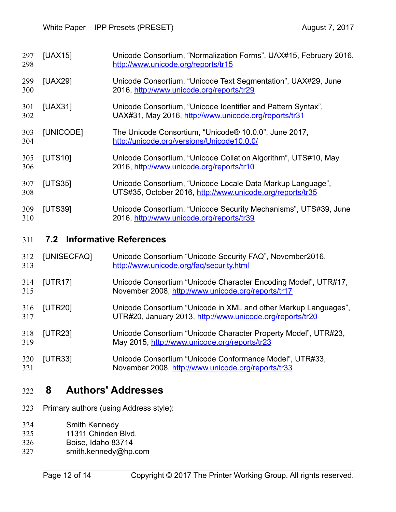<span id="page-11-3"></span><span id="page-11-2"></span><span id="page-11-1"></span><span id="page-11-0"></span>

| 297<br>298 | [UAX15]   | Unicode Consortium, "Normalization Forms", UAX#15, February 2016,<br>http://www.unicode.org/reports/tr15                |
|------------|-----------|-------------------------------------------------------------------------------------------------------------------------|
| 299<br>300 | [UAX29]   | Unicode Consortium, "Unicode Text Segmentation", UAX#29, June<br>2016, http://www.unicode.org/reports/tr29              |
| 301<br>302 | [UAX31]   | Unicode Consortium, "Unicode Identifier and Pattern Syntax",<br>UAX#31, May 2016, http://www.unicode.org/reports/tr31   |
| 303<br>304 | [UNICODE] | The Unicode Consortium, "Unicode® 10.0.0", June 2017,<br>http://unicode.org/versions/Unicode10.0.0/                     |
| 305<br>306 | [UTS10]   | Unicode Consortium, "Unicode Collation Algorithm", UTS#10, May<br>2016, http://www.unicode.org/reports/tr10             |
| 307<br>308 | [UTS35]   | Unicode Consortium, "Unicode Locale Data Markup Language",<br>UTS#35, October 2016, http://www.unicode.org/reports/tr35 |
| 309<br>310 | [UTS39]   | Unicode Consortium, "Unicode Security Mechanisms", UTS#39, June<br>2016, http://www.unicode.org/reports/tr39            |
|            |           |                                                                                                                         |

### <span id="page-11-11"></span><span id="page-11-10"></span><span id="page-11-5"></span> **7.2 Informative References** 311

<span id="page-11-9"></span><span id="page-11-8"></span><span id="page-11-4"></span>

| 312<br>313 | [UNISECFAQ] | Unicode Consortium "Unicode Security FAQ", November2016,<br>http://www.unicode.org/faq/security.html                         |
|------------|-------------|------------------------------------------------------------------------------------------------------------------------------|
| 314<br>315 | [UTR17]     | Unicode Consortium "Unicode Character Encoding Model", UTR#17,<br>November 2008, http://www.unicode.org/reports/tr17         |
| 316<br>317 | [UTR20]     | Unicode Consortium "Unicode in XML and other Markup Languages",<br>UTR#20, January 2013, http://www.unicode.org/reports/tr20 |
| 318<br>319 | [UTR23]     | Unicode Consortium "Unicode Character Property Model", UTR#23,<br>May 2015, http://www.unicode.org/reports/tr23              |
| 320        | [UTR33]     | Unicode Consortium "Unicode Conformance Model", UTR#33,                                                                      |

November 2008,<http://www.unicode.org/reports/tr33>

### **8 Authors' Addresses** 322

- Primary authors (using Address style): 323
- Smith Kennedy 324

<span id="page-11-7"></span><span id="page-11-6"></span>321

- 11311 Chinden Blvd. 325
- Boise, Idaho 83714 326
- smith.kennedy@hp.com 327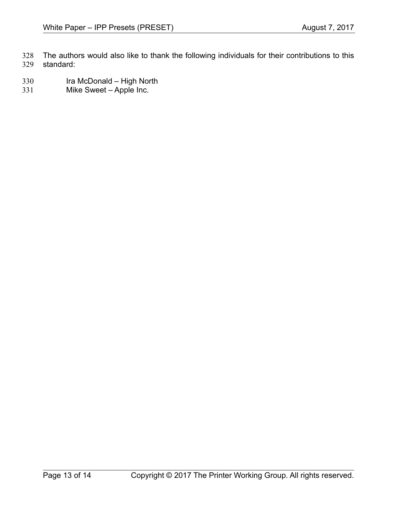The authors would also like to thank the following individuals for their contributions to this standard: 328 329

- Ira McDonald High North 330
- Mike Sweet Apple Inc. 331